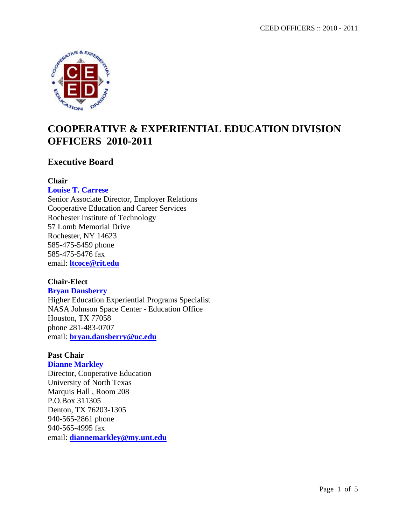

# **COOPERATIVE & EXPERIENTIAL EDUCATION DIVISION OFFICERS 2010-2011**

### **Executive Board**

### **Chair**

#### **Louise T. Carrese**

Senior Associate Director, Employer Relations Cooperative Education and Career Services Rochester Institute of Technology 57 Lomb Memorial Drive Rochester, NY 14623 585-475-5459 phone 585-475-5476 fax email: **[ltcoce@rit.edu](mailto:ltcoce@rit.edu)**

### **Chair-Elect**

#### **Bryan Dansberry**

Higher Education Experiential Programs Specialist NASA Johnson Space Center - Education Office Houston, TX 77058 phone 281-483-0707 email: **[bryan.dansberry@uc.edu](mailto:bryan.dansberry@uc.edu)**

### **Past Chair**

### **Dianne Markley** Director, Cooperative Education University of North Texas Marquis Hall , Room 208 P.O.Box 311305 Denton, TX 76203-1305 940-565-2861 phone 940-565-4995 fax email: **[diannemarkley@my.unt.edu](mailto:diannemarkley@my.unt.edu)**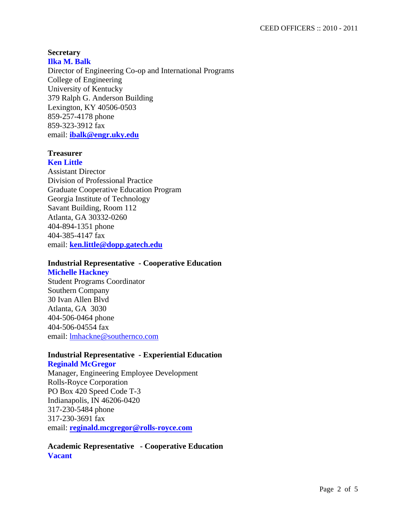#### **Secretary Ilka M. Balk**

Director of Engineering Co-op and International Programs College of Engineering University of Kentucky 379 Ralph G. Anderson Building Lexington, KY 40506-0503 859-257-4178 phone 859-323-3912 fax email: **[ibalk@engr.uky.edu](mailto:ibalk@engr.uky.edu)**

## **Treasurer**

**Ken Little** Assistant Director Division of Professional Practice Graduate Cooperative Education Program Georgia Institute of Technology Savant Building, Room 112 Atlanta, GA 30332-0260 404-894-1351 phone 404-385-4147 fax email: **[ken.little@dopp.gatech.edu](mailto:ken.little@dopp.gatech.edu)**

### **Industrial Representative - Cooperative Education**

#### **Michelle Hackney**

Student Programs Coordinator Southern Company 30 Ivan Allen Blvd Atlanta, GA 3030 404-506-0464 phone 404-506-04554 fax email: [lmhackne@southernco.com](mailto:LMHackne@southernco.com)

#### **Industrial Representative - Experiential Education**

**Reginald McGregor** Manager, Engineering Employee Development Rolls-Royce Corporation PO Box 420 Speed Code T-3 Indianapolis, IN 46206-0420 317-230-5484 phone 317-230-3691 fax email: **[reginald.mcgregor@rolls-royce.com](mailto:reginald.mcgregor@rolls-royce.com)**

### **Academic Representative - Cooperative Education Vacant**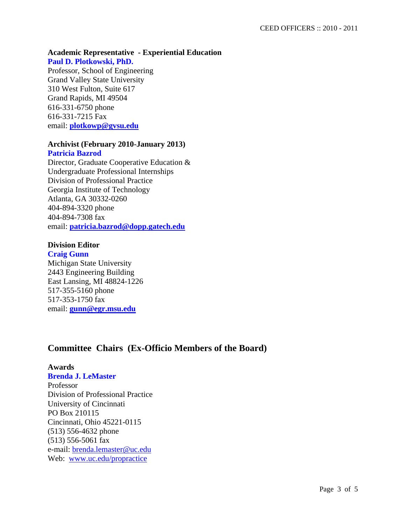### **Academic Representative - Experiential Education**

#### **Paul D. Plotkowski, PhD.**

Professor, School of Engineering Grand Valley State University 310 West Fulton, Suite 617 Grand Rapids, MI 49504 616-331-6750 phone 616-331-7215 Fax email: **[plotkowp@gvsu.edu](mailto:plotkowp@gvsu.edu)**

### **Archivist (February 2010-January 2013)**

#### **Patricia Bazrod**

Director, Graduate Cooperative Education & Undergraduate Professional Internships Division of Professional Practice Georgia Institute of Technology Atlanta, GA 30332-0260 404-894-3320 phone 404-894-7308 fax email: **[patricia.bazrod@dopp.gatech.edu](mailto:patricia.bazrod@dopp.gatech.edu)**

### **Division Editor**

#### **Craig Gunn**

Michigan State University 2443 Engineering Building East Lansing, MI 48824-1226 517-355-5160 phone 517-353-1750 fax email: **[gunn@egr.msu.edu](mailto:gunn@egr.msu.edu)**

### **Committee Chairs (Ex-Officio Members of the Board)**

#### **Awards**

#### **Brenda J. LeMaster**

Professor Division of Professional Practice University of Cincinnati PO Box 210115 Cincinnati, Ohio 45221-0115 (513) 556-4632 phone (513) 556-5061 fax e-mail: [brenda.lemaster@uc.edu](mailto:brenda.lemaster@uc.edu) Web: [www.uc.edu/propractice](http://www.uc.edu/propractice)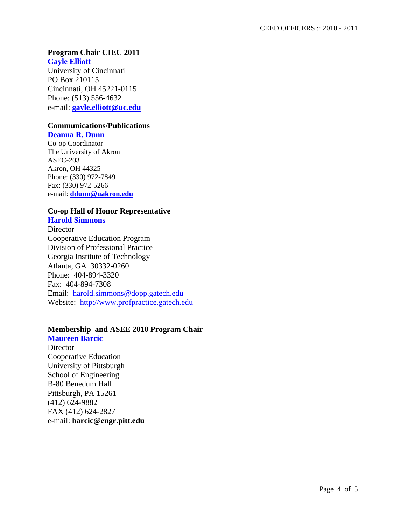#### **Program Chair CIEC 2011 Gayle Elliott**

University of Cincinnati PO Box 210115 Cincinnati, OH 45221-0115 Phone: (513) 556-4632 e-mail: **[gayle.elliott@uc.edu](mailto:gayle.elliott@uc.edu)**

### **Communications/Publications**

#### **Deanna R. Dunn**

Co-op Coordinator The University of Akron ASEC-203 Akron, OH 44325 Phone: (330) 972-7849 Fax: (330) 972-5266 e-mail: **[ddunn@uakron.edu](mailto:ddunn@uakron.edu)**

### **Co-op Hall of Honor Representative**

### **Harold Simmons**

**Director** Cooperative Education Program Division of Professional Practice Georgia Institute of Technology Atlanta, GA 30332-0260 Phone: 404-894-3320 Fax: 404-894-7308 Email: [harold.simmons@dopp.gatech.edu](mailto:harold.simmons@dopp.gatech.edu) Website: [http://www.profpractice.gatech.edu](http://www.profpractice.gatech.edu/)

### **Membership and ASEE 2010 Program Chair**

**Maureen Barcic Director** Cooperative Education University of Pittsburgh School of Engineering B-80 Benedum Hall Pittsburgh, PA 15261 (412) 624-9882 FAX (412) 624-2827 e-mail: **barcic@engr.pitt.edu**